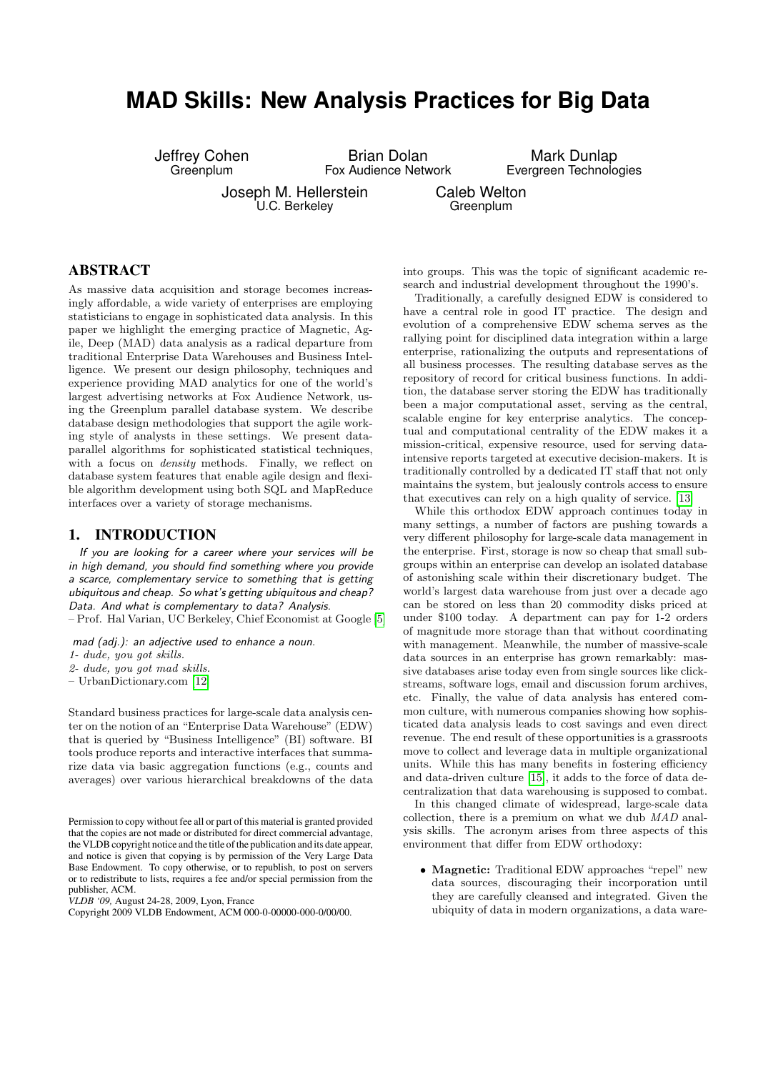# **MAD Skills: New Analysis Practices for Big Data**

Jeffrey Cohen **Greenplum** 

Brian Dolan Fox Audience Network

Mark Dunlap Evergreen Technologies

Joseph M. Hellerstein U.C. Berkeley

Caleb Welton **Greenplum** 

## ABSTRACT

As massive data acquisition and storage becomes increasingly affordable, a wide variety of enterprises are employing statisticians to engage in sophisticated data analysis. In this paper we highlight the emerging practice of Magnetic, Agile, Deep (MAD) data analysis as a radical departure from traditional Enterprise Data Warehouses and Business Intelligence. We present our design philosophy, techniques and experience providing MAD analytics for one of the world's largest advertising networks at Fox Audience Network, using the Greenplum parallel database system. We describe database design methodologies that support the agile working style of analysts in these settings. We present dataparallel algorithms for sophisticated statistical techniques, with a focus on density methods. Finally, we reflect on database system features that enable agile design and flexible algorithm development using both SQL and MapReduce interfaces over a variety of storage mechanisms.

## 1. INTRODUCTION

If you are looking for a career where your services will be in high demand, you should find something where you provide a scarce, complementary service to something that is getting ubiquitous and cheap. So what's getting ubiquitous and cheap? Data. And what is complementary to data? Analysis.

– Prof. Hal Varian, UC Berkeley, Chief Economist at Google [\[5\]](#page-11-0)

mad (adj.): an adjective used to enhance a noun. 1- dude, you got skills. 2- dude, you got mad skills. – UrbanDictionary.com [\[12\]](#page-11-1)

Standard business practices for large-scale data analysis center on the notion of an "Enterprise Data Warehouse" (EDW) that is queried by "Business Intelligence" (BI) software. BI tools produce reports and interactive interfaces that summarize data via basic aggregation functions (e.g., counts and averages) over various hierarchical breakdowns of the data

*VLDB '09,* August 24-28, 2009, Lyon, France

into groups. This was the topic of significant academic research and industrial development throughout the 1990's.

Traditionally, a carefully designed EDW is considered to have a central role in good IT practice. The design and evolution of a comprehensive EDW schema serves as the rallying point for disciplined data integration within a large enterprise, rationalizing the outputs and representations of all business processes. The resulting database serves as the repository of record for critical business functions. In addition, the database server storing the EDW has traditionally been a major computational asset, serving as the central, scalable engine for key enterprise analytics. The conceptual and computational centrality of the EDW makes it a mission-critical, expensive resource, used for serving dataintensive reports targeted at executive decision-makers. It is traditionally controlled by a dedicated IT staff that not only maintains the system, but jealously controls access to ensure that executives can rely on a high quality of service. [\[13\]](#page-11-2)

While this orthodox EDW approach continues today in many settings, a number of factors are pushing towards a very different philosophy for large-scale data management in the enterprise. First, storage is now so cheap that small subgroups within an enterprise can develop an isolated database of astonishing scale within their discretionary budget. The world's largest data warehouse from just over a decade ago can be stored on less than 20 commodity disks priced at under \$100 today. A department can pay for 1-2 orders of magnitude more storage than that without coordinating with management. Meanwhile, the number of massive-scale data sources in an enterprise has grown remarkably: massive databases arise today even from single sources like clickstreams, software logs, email and discussion forum archives, etc. Finally, the value of data analysis has entered common culture, with numerous companies showing how sophisticated data analysis leads to cost savings and even direct revenue. The end result of these opportunities is a grassroots move to collect and leverage data in multiple organizational units. While this has many benefits in fostering efficiency and data-driven culture [\[15\]](#page-11-3), it adds to the force of data decentralization that data warehousing is supposed to combat.

In this changed climate of widespread, large-scale data collection, there is a premium on what we dub MAD analysis skills. The acronym arises from three aspects of this environment that differ from EDW orthodoxy:

• Magnetic: Traditional EDW approaches "repel" new data sources, discouraging their incorporation until they are carefully cleansed and integrated. Given the ubiquity of data in modern organizations, a data ware-

Permission to copy without fee all or part of this material is granted provided that the copies are not made or distributed for direct commercial advantage, the VLDB copyright notice and the title of the publication and its date appear, and notice is given that copying is by permission of the Very Large Data Base Endowment. To copy otherwise, or to republish, to post on servers or to redistribute to lists, requires a fee and/or special permission from the publisher, ACM.

Copyright 2009 VLDB Endowment, ACM 000-0-00000-000-0/00/00.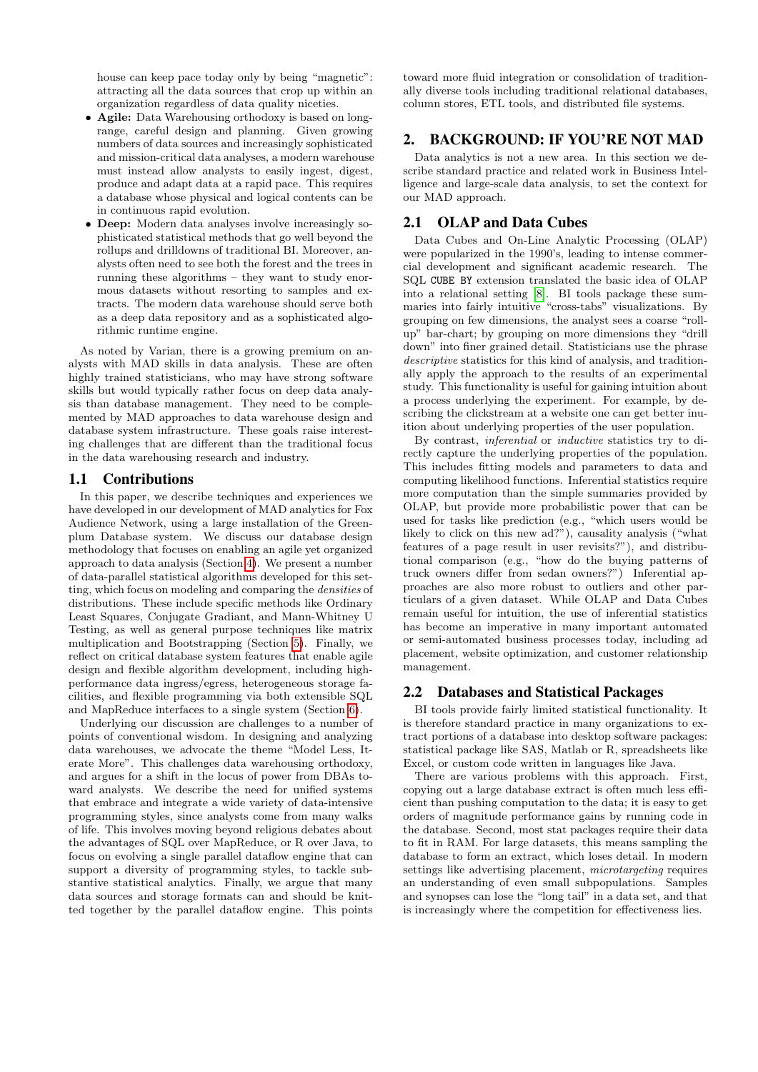house can keep pace today only by being "magnetic": attracting all the data sources that crop up within an organization regardless of data quality niceties.

- Agile: Data Warehousing orthodoxy is based on longrange, careful design and planning. Given growing numbers of data sources and increasingly sophisticated and mission-critical data analyses, a modern warehouse must instead allow analysts to easily ingest, digest, produce and adapt data at a rapid pace. This requires a database whose physical and logical contents can be in continuous rapid evolution.
- Deep: Modern data analyses involve increasingly sophisticated statistical methods that go well beyond the rollups and drilldowns of traditional BI. Moreover, analysts often need to see both the forest and the trees in running these algorithms – they want to study enormous datasets without resorting to samples and extracts. The modern data warehouse should serve both as a deep data repository and as a sophisticated algorithmic runtime engine.

As noted by Varian, there is a growing premium on analysts with MAD skills in data analysis. These are often highly trained statisticians, who may have strong software skills but would typically rather focus on deep data analysis than database management. They need to be complemented by MAD approaches to data warehouse design and database system infrastructure. These goals raise interesting challenges that are different than the traditional focus in the data warehousing research and industry.

## 1.1 Contributions

In this paper, we describe techniques and experiences we have developed in our development of MAD analytics for Fox Audience Network, using a large installation of the Greenplum Database system. We discuss our database design methodology that focuses on enabling an agile yet organized approach to data analysis (Section [4\)](#page-3-0). We present a number of data-parallel statistical algorithms developed for this setting, which focus on modeling and comparing the densities of distributions. These include specific methods like Ordinary Least Squares, Conjugate Gradiant, and Mann-Whitney U Testing, as well as general purpose techniques like matrix multiplication and Bootstrapping (Section [5\)](#page-4-0). Finally, we reflect on critical database system features that enable agile design and flexible algorithm development, including highperformance data ingress/egress, heterogeneous storage facilities, and flexible programming via both extensible SQL and MapReduce interfaces to a single system (Section [6\)](#page-8-0).

Underlying our discussion are challenges to a number of points of conventional wisdom. In designing and analyzing data warehouses, we advocate the theme "Model Less, Iterate More". This challenges data warehousing orthodoxy, and argues for a shift in the locus of power from DBAs toward analysts. We describe the need for unified systems that embrace and integrate a wide variety of data-intensive programming styles, since analysts come from many walks of life. This involves moving beyond religious debates about the advantages of SQL over MapReduce, or R over Java, to focus on evolving a single parallel dataflow engine that can support a diversity of programming styles, to tackle substantive statistical analytics. Finally, we argue that many data sources and storage formats can and should be knitted together by the parallel dataflow engine. This points

toward more fluid integration or consolidation of traditionally diverse tools including traditional relational databases, column stores, ETL tools, and distributed file systems.

## 2. BACKGROUND: IF YOU'RE NOT MAD

Data analytics is not a new area. In this section we describe standard practice and related work in Business Intelligence and large-scale data analysis, to set the context for our MAD approach.

## 2.1 OLAP and Data Cubes

Data Cubes and On-Line Analytic Processing (OLAP) were popularized in the 1990's, leading to intense commercial development and significant academic research. The SQL CUBE BY extension translated the basic idea of OLAP into a relational setting [\[8\]](#page-11-4). BI tools package these summaries into fairly intuitive "cross-tabs" visualizations. By grouping on few dimensions, the analyst sees a coarse "rollup" bar-chart; by grouping on more dimensions they "drill down" into finer grained detail. Statisticians use the phrase descriptive statistics for this kind of analysis, and traditionally apply the approach to the results of an experimental study. This functionality is useful for gaining intuition about a process underlying the experiment. For example, by describing the clickstream at a website one can get better inuition about underlying properties of the user population.

By contrast, inferential or inductive statistics try to directly capture the underlying properties of the population. This includes fitting models and parameters to data and computing likelihood functions. Inferential statistics require more computation than the simple summaries provided by OLAP, but provide more probabilistic power that can be used for tasks like prediction (e.g., "which users would be likely to click on this new ad?"), causality analysis ("what features of a page result in user revisits?"), and distributional comparison (e.g., "how do the buying patterns of truck owners differ from sedan owners?") Inferential approaches are also more robust to outliers and other particulars of a given dataset. While OLAP and Data Cubes remain useful for intuition, the use of inferential statistics has become an imperative in many important automated or semi-automated business processes today, including ad placement, website optimization, and customer relationship management.

#### 2.2 Databases and Statistical Packages

BI tools provide fairly limited statistical functionality. It is therefore standard practice in many organizations to extract portions of a database into desktop software packages: statistical package like SAS, Matlab or R, spreadsheets like Excel, or custom code written in languages like Java.

There are various problems with this approach. First, copying out a large database extract is often much less efficient than pushing computation to the data; it is easy to get orders of magnitude performance gains by running code in the database. Second, most stat packages require their data to fit in RAM. For large datasets, this means sampling the database to form an extract, which loses detail. In modern settings like advertising placement, microtargeting requires an understanding of even small subpopulations. Samples and synopses can lose the "long tail" in a data set, and that is increasingly where the competition for effectiveness lies.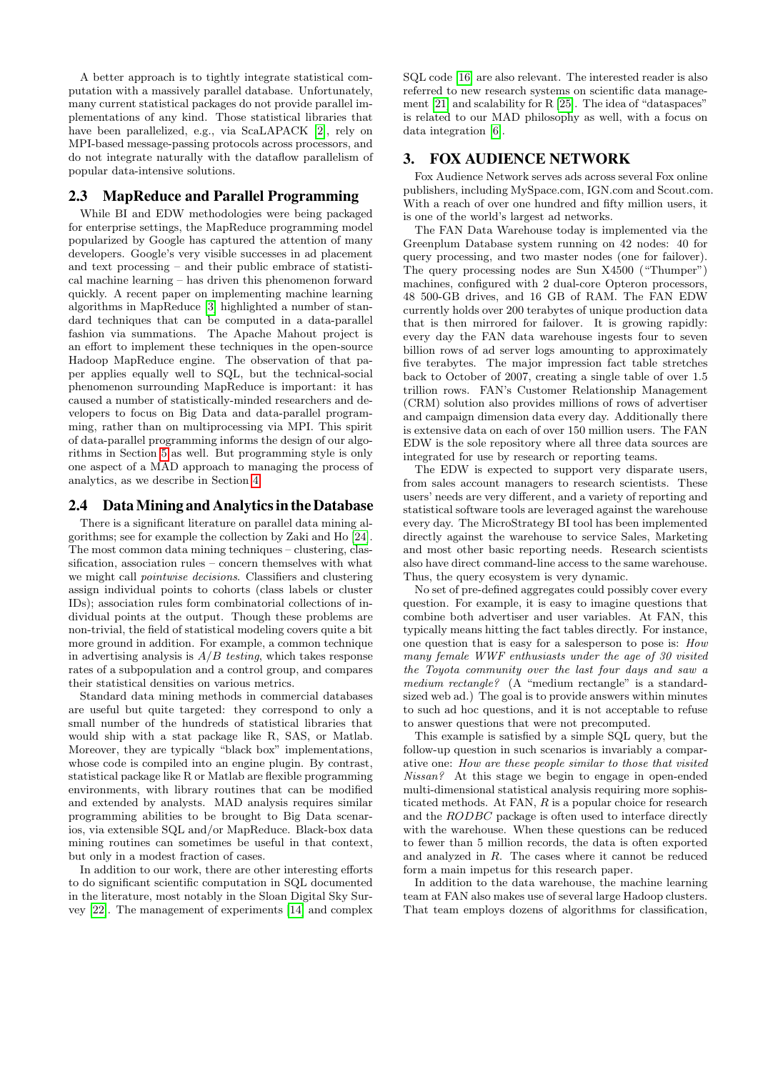A better approach is to tightly integrate statistical computation with a massively parallel database. Unfortunately, many current statistical packages do not provide parallel implementations of any kind. Those statistical libraries that have been parallelized, e.g., via ScaLAPACK [\[2\]](#page-11-5), rely on MPI-based message-passing protocols across processors, and do not integrate naturally with the dataflow parallelism of popular data-intensive solutions.

## 2.3 MapReduce and Parallel Programming

While BI and EDW methodologies were being packaged for enterprise settings, the MapReduce programming model popularized by Google has captured the attention of many developers. Google's very visible successes in ad placement and text processing – and their public embrace of statistical machine learning – has driven this phenomenon forward quickly. A recent paper on implementing machine learning algorithms in MapReduce [\[3\]](#page-11-6) highlighted a number of standard techniques that can be computed in a data-parallel fashion via summations. The Apache Mahout project is an effort to implement these techniques in the open-source Hadoop MapReduce engine. The observation of that paper applies equally well to SQL, but the technical-social phenomenon surrounding MapReduce is important: it has caused a number of statistically-minded researchers and developers to focus on Big Data and data-parallel programming, rather than on multiprocessing via MPI. This spirit of data-parallel programming informs the design of our algorithms in Section [5](#page-4-0) as well. But programming style is only one aspect of a MAD approach to managing the process of analytics, as we describe in Section [4.](#page-3-0)

## 2.4 DataMining and Analytics in the Database

There is a significant literature on parallel data mining algorithms; see for example the collection by Zaki and Ho [\[24\]](#page-11-7). The most common data mining techniques – clustering, classification, association rules – concern themselves with what we might call pointwise decisions. Classifiers and clustering assign individual points to cohorts (class labels or cluster IDs); association rules form combinatorial collections of individual points at the output. Though these problems are non-trivial, the field of statistical modeling covers quite a bit more ground in addition. For example, a common technique in advertising analysis is  $A/B$  testing, which takes response rates of a subpopulation and a control group, and compares their statistical densities on various metrics.

Standard data mining methods in commercial databases are useful but quite targeted: they correspond to only a small number of the hundreds of statistical libraries that would ship with a stat package like R, SAS, or Matlab. Moreover, they are typically "black box" implementations, whose code is compiled into an engine plugin. By contrast, statistical package like R or Matlab are flexible programming environments, with library routines that can be modified and extended by analysts. MAD analysis requires similar programming abilities to be brought to Big Data scenarios, via extensible SQL and/or MapReduce. Black-box data mining routines can sometimes be useful in that context, but only in a modest fraction of cases.

In addition to our work, there are other interesting efforts to do significant scientific computation in SQL documented in the literature, most notably in the Sloan Digital Sky Survey [\[22\]](#page-11-8). The management of experiments [\[14\]](#page-11-9) and complex SQL code [\[16\]](#page-11-10) are also relevant. The interested reader is also referred to new research systems on scientific data management [\[21\]](#page-11-11) and scalability for R [\[25\]](#page-11-12). The idea of "dataspaces" is related to our MAD philosophy as well, with a focus on data integration [\[6\]](#page-11-13).

## 3. FOX AUDIENCE NETWORK

Fox Audience Network serves ads across several Fox online publishers, including MySpace.com, IGN.com and Scout.com. With a reach of over one hundred and fifty million users, it is one of the world's largest ad networks.

The FAN Data Warehouse today is implemented via the Greenplum Database system running on 42 nodes: 40 for query processing, and two master nodes (one for failover). The query processing nodes are Sun X4500 ("Thumper") machines, configured with 2 dual-core Opteron processors, 48 500-GB drives, and 16 GB of RAM. The FAN EDW currently holds over 200 terabytes of unique production data that is then mirrored for failover. It is growing rapidly: every day the FAN data warehouse ingests four to seven billion rows of ad server logs amounting to approximately five terabytes. The major impression fact table stretches back to October of 2007, creating a single table of over 1.5 trillion rows. FAN's Customer Relationship Management (CRM) solution also provides millions of rows of advertiser and campaign dimension data every day. Additionally there is extensive data on each of over 150 million users. The FAN EDW is the sole repository where all three data sources are integrated for use by research or reporting teams.

The EDW is expected to support very disparate users, from sales account managers to research scientists. These users' needs are very different, and a variety of reporting and statistical software tools are leveraged against the warehouse every day. The MicroStrategy BI tool has been implemented directly against the warehouse to service Sales, Marketing and most other basic reporting needs. Research scientists also have direct command-line access to the same warehouse. Thus, the query ecosystem is very dynamic.

No set of pre-defined aggregates could possibly cover every question. For example, it is easy to imagine questions that combine both advertiser and user variables. At FAN, this typically means hitting the fact tables directly. For instance, one question that is easy for a salesperson to pose is: How many female WWF enthusiasts under the age of 30 visited the Toyota community over the last four days and saw a medium rectangle? (A "medium rectangle" is a standardsized web ad.) The goal is to provide answers within minutes to such ad hoc questions, and it is not acceptable to refuse to answer questions that were not precomputed.

This example is satisfied by a simple SQL query, but the follow-up question in such scenarios is invariably a comparative one: How are these people similar to those that visited Nissan? At this stage we begin to engage in open-ended multi-dimensional statistical analysis requiring more sophisticated methods. At FAN, R is a popular choice for research and the RODBC package is often used to interface directly with the warehouse. When these questions can be reduced to fewer than 5 million records, the data is often exported and analyzed in R. The cases where it cannot be reduced form a main impetus for this research paper.

In addition to the data warehouse, the machine learning team at FAN also makes use of several large Hadoop clusters. That team employs dozens of algorithms for classification,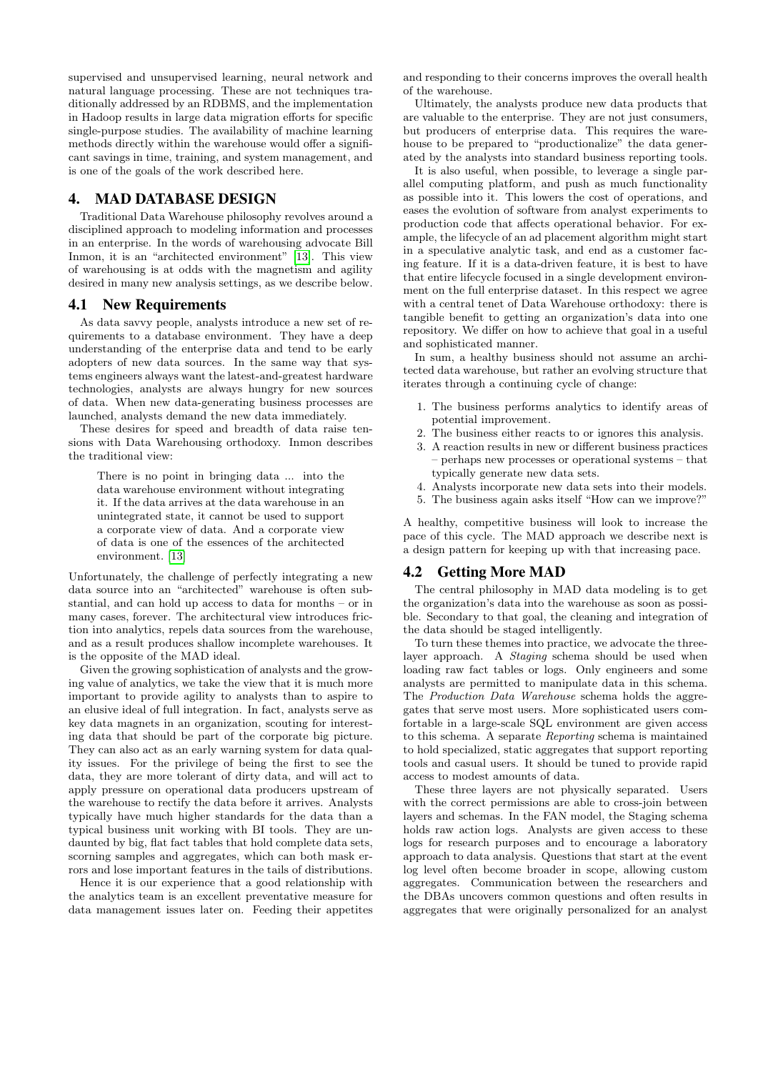supervised and unsupervised learning, neural network and natural language processing. These are not techniques traditionally addressed by an RDBMS, and the implementation in Hadoop results in large data migration efforts for specific single-purpose studies. The availability of machine learning methods directly within the warehouse would offer a significant savings in time, training, and system management, and is one of the goals of the work described here.

## <span id="page-3-0"></span>4. MAD DATABASE DESIGN

Traditional Data Warehouse philosophy revolves around a disciplined approach to modeling information and processes in an enterprise. In the words of warehousing advocate Bill Inmon, it is an "architected environment" [\[13\]](#page-11-2). This view of warehousing is at odds with the magnetism and agility desired in many new analysis settings, as we describe below.

#### 4.1 New Requirements

As data savvy people, analysts introduce a new set of requirements to a database environment. They have a deep understanding of the enterprise data and tend to be early adopters of new data sources. In the same way that systems engineers always want the latest-and-greatest hardware technologies, analysts are always hungry for new sources of data. When new data-generating business processes are launched, analysts demand the new data immediately.

These desires for speed and breadth of data raise tensions with Data Warehousing orthodoxy. Inmon describes the traditional view:

There is no point in bringing data ... into the data warehouse environment without integrating it. If the data arrives at the data warehouse in an unintegrated state, it cannot be used to support a corporate view of data. And a corporate view of data is one of the essences of the architected environment. [\[13\]](#page-11-2)

Unfortunately, the challenge of perfectly integrating a new data source into an "architected" warehouse is often substantial, and can hold up access to data for months – or in many cases, forever. The architectural view introduces friction into analytics, repels data sources from the warehouse, and as a result produces shallow incomplete warehouses. It is the opposite of the MAD ideal.

Given the growing sophistication of analysts and the growing value of analytics, we take the view that it is much more important to provide agility to analysts than to aspire to an elusive ideal of full integration. In fact, analysts serve as key data magnets in an organization, scouting for interesting data that should be part of the corporate big picture. They can also act as an early warning system for data quality issues. For the privilege of being the first to see the data, they are more tolerant of dirty data, and will act to apply pressure on operational data producers upstream of the warehouse to rectify the data before it arrives. Analysts typically have much higher standards for the data than a typical business unit working with BI tools. They are undaunted by big, flat fact tables that hold complete data sets, scorning samples and aggregates, which can both mask errors and lose important features in the tails of distributions.

Hence it is our experience that a good relationship with the analytics team is an excellent preventative measure for data management issues later on. Feeding their appetites

and responding to their concerns improves the overall health of the warehouse.

Ultimately, the analysts produce new data products that are valuable to the enterprise. They are not just consumers, but producers of enterprise data. This requires the warehouse to be prepared to "productionalize" the data generated by the analysts into standard business reporting tools.

It is also useful, when possible, to leverage a single parallel computing platform, and push as much functionality as possible into it. This lowers the cost of operations, and eases the evolution of software from analyst experiments to production code that affects operational behavior. For example, the lifecycle of an ad placement algorithm might start in a speculative analytic task, and end as a customer facing feature. If it is a data-driven feature, it is best to have that entire lifecycle focused in a single development environment on the full enterprise dataset. In this respect we agree with a central tenet of Data Warehouse orthodoxy: there is tangible benefit to getting an organization's data into one repository. We differ on how to achieve that goal in a useful and sophisticated manner.

In sum, a healthy business should not assume an architected data warehouse, but rather an evolving structure that iterates through a continuing cycle of change:

- 1. The business performs analytics to identify areas of potential improvement.
- 2. The business either reacts to or ignores this analysis.
- 3. A reaction results in new or different business practices – perhaps new processes or operational systems – that typically generate new data sets.
- 4. Analysts incorporate new data sets into their models.
- 5. The business again asks itself "How can we improve?"

A healthy, competitive business will look to increase the pace of this cycle. The MAD approach we describe next is a design pattern for keeping up with that increasing pace.

## 4.2 Getting More MAD

The central philosophy in MAD data modeling is to get the organization's data into the warehouse as soon as possible. Secondary to that goal, the cleaning and integration of the data should be staged intelligently.

To turn these themes into practice, we advocate the threelayer approach. A Staging schema should be used when loading raw fact tables or logs. Only engineers and some analysts are permitted to manipulate data in this schema. The Production Data Warehouse schema holds the aggregates that serve most users. More sophisticated users comfortable in a large-scale SQL environment are given access to this schema. A separate Reporting schema is maintained to hold specialized, static aggregates that support reporting tools and casual users. It should be tuned to provide rapid access to modest amounts of data.

These three layers are not physically separated. Users with the correct permissions are able to cross-join between layers and schemas. In the FAN model, the Staging schema holds raw action logs. Analysts are given access to these logs for research purposes and to encourage a laboratory approach to data analysis. Questions that start at the event log level often become broader in scope, allowing custom aggregates. Communication between the researchers and the DBAs uncovers common questions and often results in aggregates that were originally personalized for an analyst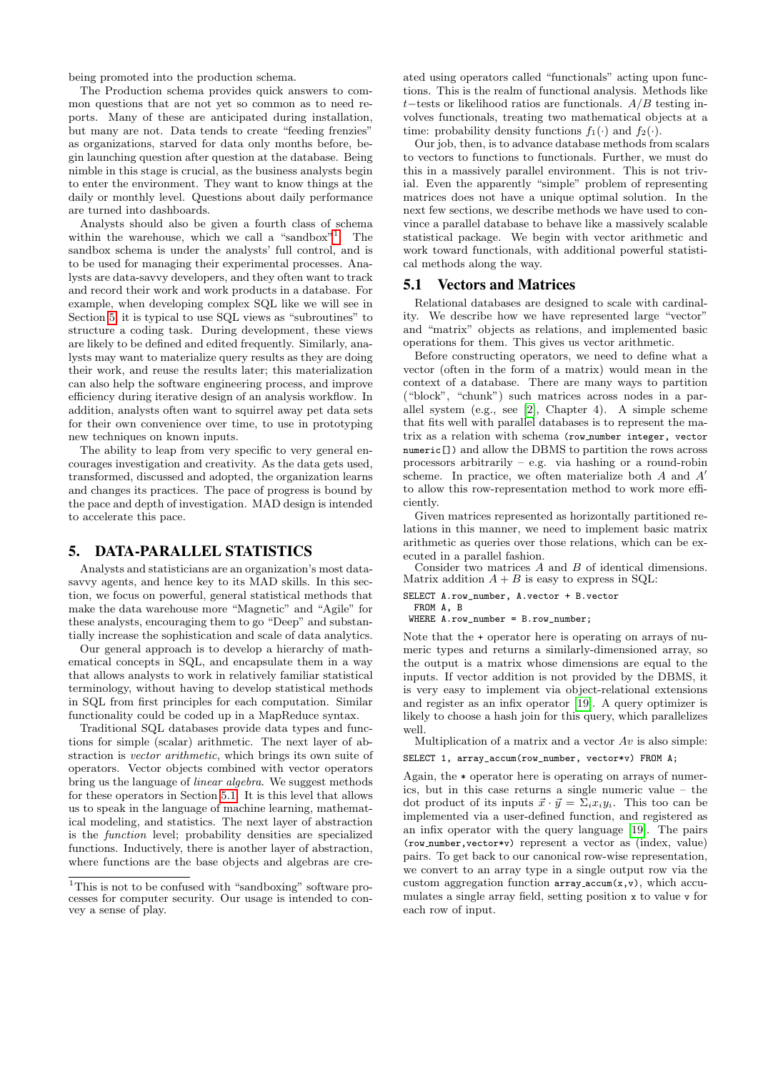being promoted into the production schema.

The Production schema provides quick answers to common questions that are not yet so common as to need reports. Many of these are anticipated during installation, but many are not. Data tends to create "feeding frenzies" as organizations, starved for data only months before, begin launching question after question at the database. Being nimble in this stage is crucial, as the business analysts begin to enter the environment. They want to know things at the daily or monthly level. Questions about daily performance are turned into dashboards.

Analysts should also be given a fourth class of schema within the warehouse, which we call a "sandbox"<sup>[1](#page-4-1)</sup>. The sandbox schema is under the analysts' full control, and is to be used for managing their experimental processes. Analysts are data-savvy developers, and they often want to track and record their work and work products in a database. For example, when developing complex SQL like we will see in Section [5,](#page-4-0) it is typical to use SQL views as "subroutines" to structure a coding task. During development, these views are likely to be defined and edited frequently. Similarly, analysts may want to materialize query results as they are doing their work, and reuse the results later; this materialization can also help the software engineering process, and improve efficiency during iterative design of an analysis workflow. In addition, analysts often want to squirrel away pet data sets for their own convenience over time, to use in prototyping new techniques on known inputs.

The ability to leap from very specific to very general encourages investigation and creativity. As the data gets used, transformed, discussed and adopted, the organization learns and changes its practices. The pace of progress is bound by the pace and depth of investigation. MAD design is intended to accelerate this pace.

## <span id="page-4-0"></span>5. DATA-PARALLEL STATISTICS

Analysts and statisticians are an organization's most datasavvy agents, and hence key to its MAD skills. In this section, we focus on powerful, general statistical methods that make the data warehouse more "Magnetic" and "Agile" for these analysts, encouraging them to go "Deep" and substantially increase the sophistication and scale of data analytics.

Our general approach is to develop a hierarchy of mathematical concepts in SQL, and encapsulate them in a way that allows analysts to work in relatively familiar statistical terminology, without having to develop statistical methods in SQL from first principles for each computation. Similar functionality could be coded up in a MapReduce syntax.

Traditional SQL databases provide data types and functions for simple (scalar) arithmetic. The next layer of abstraction is vector arithmetic, which brings its own suite of operators. Vector objects combined with vector operators bring us the language of linear algebra. We suggest methods for these operators in Section [5.1.](#page-4-2) It is this level that allows us to speak in the language of machine learning, mathematical modeling, and statistics. The next layer of abstraction is the function level; probability densities are specialized functions. Inductively, there is another layer of abstraction, where functions are the base objects and algebras are cre-

ated using operators called "functionals" acting upon functions. This is the realm of functional analysis. Methods like t−tests or likelihood ratios are functionals.  $A/B$  testing involves functionals, treating two mathematical objects at a time: probability density functions  $f_1(\cdot)$  and  $f_2(\cdot)$ .

Our job, then, is to advance database methods from scalars to vectors to functions to functionals. Further, we must do this in a massively parallel environment. This is not trivial. Even the apparently "simple" problem of representing matrices does not have a unique optimal solution. In the next few sections, we describe methods we have used to convince a parallel database to behave like a massively scalable statistical package. We begin with vector arithmetic and work toward functionals, with additional powerful statistical methods along the way.

#### <span id="page-4-2"></span>5.1 Vectors and Matrices

Relational databases are designed to scale with cardinality. We describe how we have represented large "vector" and "matrix" objects as relations, and implemented basic operations for them. This gives us vector arithmetic.

Before constructing operators, we need to define what a vector (often in the form of a matrix) would mean in the context of a database. There are many ways to partition ("block", "chunk") such matrices across nodes in a parallel system (e.g., see [\[2\]](#page-11-5), Chapter 4). A simple scheme that fits well with parallel databases is to represent the matrix as a relation with schema (row number integer, vector numeric[]) and allow the DBMS to partition the rows across processors arbitrarily – e.g. via hashing or a round-robin scheme. In practice, we often materialize both  $A$  and  $A'$ to allow this row-representation method to work more efficiently.

Given matrices represented as horizontally partitioned relations in this manner, we need to implement basic matrix arithmetic as queries over those relations, which can be executed in a parallel fashion.

Consider two matrices  $A$  and  $B$  of identical dimensions. Matrix addition  $A + B$  is easy to express in SQL:

SELECT A.row\_number, A.vector + B.vector

FROM A, B WHERE A.row\_number = B.row\_number;

Note that the + operator here is operating on arrays of numeric types and returns a similarly-dimensioned array, so the output is a matrix whose dimensions are equal to the inputs. If vector addition is not provided by the DBMS, it is very easy to implement via object-relational extensions and register as an infix operator [\[19\]](#page-11-14). A query optimizer is likely to choose a hash join for this query, which parallelizes well.

Multiplication of a matrix and a vector  $Av$  is also simple: SELECT 1, array\_accum(row\_number, vector\*v) FROM A;

Again, the \* operator here is operating on arrays of numerics, but in this case returns a single numeric value – the dot product of its inputs  $\vec{x} \cdot \vec{y} = \sum_i x_i y_i$ . This too can be implemented via a user-defined function, and registered as an infix operator with the query language [\[19\]](#page-11-14). The pairs (row number,vector\*v) represent a vector as (index, value) pairs. To get back to our canonical row-wise representation, we convert to an array type in a single output row via the custom aggregation function  $\arctan(x,y)$ , which accumulates a single array field, setting position x to value v for each row of input.

<span id="page-4-1"></span><sup>&</sup>lt;sup>1</sup>This is not to be confused with "sandboxing" software processes for computer security. Our usage is intended to convey a sense of play.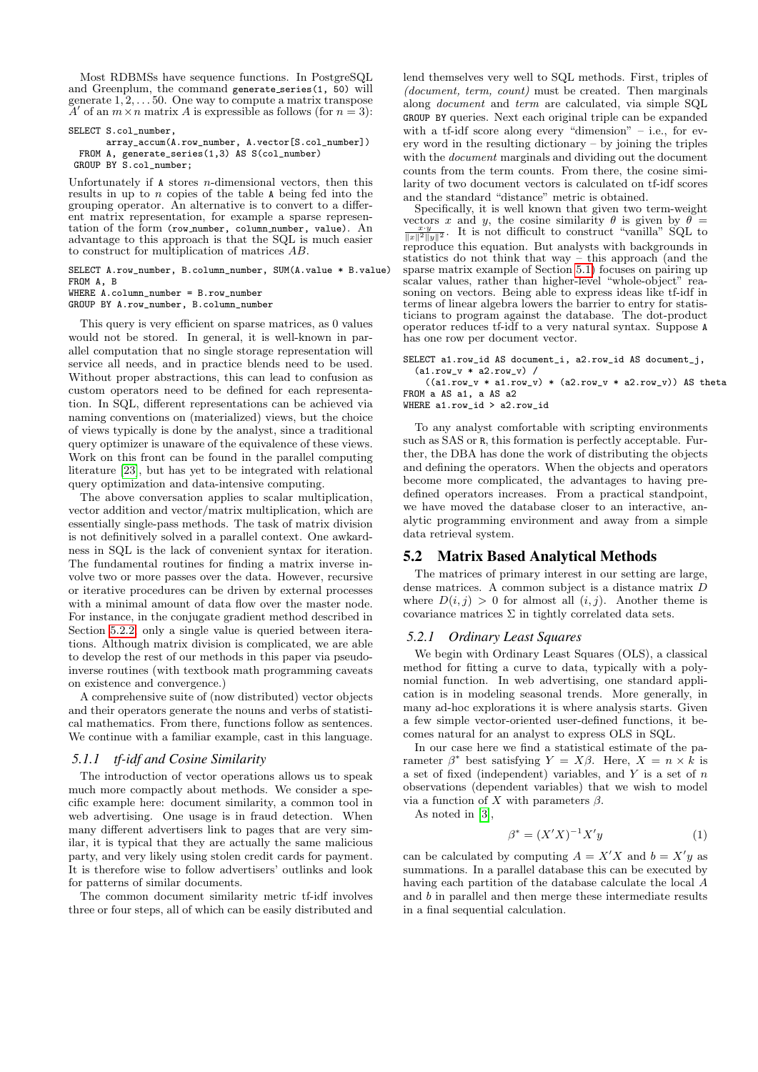Most RDBMSs have sequence functions. In PostgreSQL and Greenplum, the command generate series(1, 50) will generate  $1, 2, \ldots, 50$ . One way to compute a matrix transpose A' of an  $m \times n$  matrix A is expressible as follows (for  $n = 3$ ):

#### SELECT S.col\_number,

array\_accum(A.row\_number, A.vector[S.col\_number]) FROM A, generate\_series(1,3) AS S(col\_number) GROUP BY S.col\_number;

Unfortunately if  $A$  stores *n*-dimensional vectors, then this results in up to n copies of the table A being fed into the grouping operator. An alternative is to convert to a different matrix representation, for example a sparse representation of the form (row number, column number, value). An advantage to this approach is that the SQL is much easier to construct for multiplication of matrices AB.

SELECT A.row\_number, B.column\_number, SUM(A.value \* B.value) FROM A, B

```
WHERE A.column_number = B.row_number
```
GROUP BY A.row\_number, B.column\_number

This query is very efficient on sparse matrices, as 0 values would not be stored. In general, it is well-known in parallel computation that no single storage representation will service all needs, and in practice blends need to be used. Without proper abstractions, this can lead to confusion as custom operators need to be defined for each representation. In SQL, different representations can be achieved via naming conventions on (materialized) views, but the choice of views typically is done by the analyst, since a traditional query optimizer is unaware of the equivalence of these views. Work on this front can be found in the parallel computing literature [\[23\]](#page-11-15), but has yet to be integrated with relational query optimization and data-intensive computing.

The above conversation applies to scalar multiplication, vector addition and vector/matrix multiplication, which are essentially single-pass methods. The task of matrix division is not definitively solved in a parallel context. One awkardness in SQL is the lack of convenient syntax for iteration. The fundamental routines for finding a matrix inverse involve two or more passes over the data. However, recursive or iterative procedures can be driven by external processes with a minimal amount of data flow over the master node. For instance, in the conjugate gradient method described in Section [5.2.2,](#page-6-0) only a single value is queried between iterations. Although matrix division is complicated, we are able to develop the rest of our methods in this paper via pseudoinverse routines (with textbook math programming caveats on existence and convergence.)

A comprehensive suite of (now distributed) vector objects and their operators generate the nouns and verbs of statistical mathematics. From there, functions follow as sentences. We continue with a familiar example, cast in this language.

#### *5.1.1 tf-idf and Cosine Similarity*

The introduction of vector operations allows us to speak much more compactly about methods. We consider a specific example here: document similarity, a common tool in web advertising. One usage is in fraud detection. When many different advertisers link to pages that are very similar, it is typical that they are actually the same malicious party, and very likely using stolen credit cards for payment. It is therefore wise to follow advertisers' outlinks and look for patterns of similar documents.

The common document similarity metric tf-idf involves three or four steps, all of which can be easily distributed and lend themselves very well to SQL methods. First, triples of (document, term, count) must be created. Then marginals along document and term are calculated, via simple SQL GROUP BY queries. Next each original triple can be expanded with a tf-idf score along every "dimension" – i.e., for every word in the resulting dictionary – by joining the triples with the *document* marginals and dividing out the document counts from the term counts. From there, the cosine similarity of two document vectors is calculated on tf-idf scores and the standard "distance" metric is obtained.

Specifically, it is well known that given two term-weight vectors x and y, the cosine similarity  $\theta$  is given by  $\theta = \frac{x \cdot y}{\|x\|^2 \|y\|^2}$ . It is not difficult to construct "vanilla" SQL to reproduce this equation. But analysts with backgrounds in statistics do not think that way – this approach (and the sparse matrix example of Section [5.1\)](#page-4-2) focuses on pairing up scalar values, rather than higher-level "whole-object" reasoning on vectors. Being able to express ideas like tf-idf in terms of linear algebra lowers the barrier to entry for statisticians to program against the database. The dot-product operator reduces tf-idf to a very natural syntax. Suppose A has one row per document vector.

SELECT a1.row\_id AS document\_i, a2.row\_id AS document\_j,  $(a1.row_v * a2.row_v)$  /

 $((a1.row_v * a1.row_v) * (a2.row_v * a2.row_v))$  AS theta FROM a AS a1, a AS a2

WHERE a1.row\_id > a2.row\_id

To any analyst comfortable with scripting environments such as SAS or R, this formation is perfectly acceptable. Further, the DBA has done the work of distributing the objects and defining the operators. When the objects and operators become more complicated, the advantages to having predefined operators increases. From a practical standpoint, we have moved the database closer to an interactive, analytic programming environment and away from a simple data retrieval system.

#### 5.2 Matrix Based Analytical Methods

The matrices of primary interest in our setting are large, dense matrices. A common subject is a distance matrix  $D$ where  $D(i, j) > 0$  for almost all  $(i, j)$ . Another theme is covariance matrices  $\Sigma$  in tightly correlated data sets.

#### *5.2.1 Ordinary Least Squares*

We begin with Ordinary Least Squares (OLS), a classical method for fitting a curve to data, typically with a polynomial function. In web advertising, one standard application is in modeling seasonal trends. More generally, in many ad-hoc explorations it is where analysis starts. Given a few simple vector-oriented user-defined functions, it becomes natural for an analyst to express OLS in SQL.

In our case here we find a statistical estimate of the parameter  $\beta^*$  best satisfying  $Y = X\beta$ . Here,  $X = n \times k$  is a set of fixed (independent) variables, and Y is a set of n observations (dependent variables) that we wish to model via a function of X with parameters  $\beta$ .

As noted in [\[3\]](#page-11-6),

$$
\beta^* = (X'X)^{-1}X'y \tag{1}
$$

can be calculated by computing  $A = X'X$  and  $b = X'y$  as summations. In a parallel database this can be executed by having each partition of the database calculate the local A and b in parallel and then merge these intermediate results in a final sequential calculation.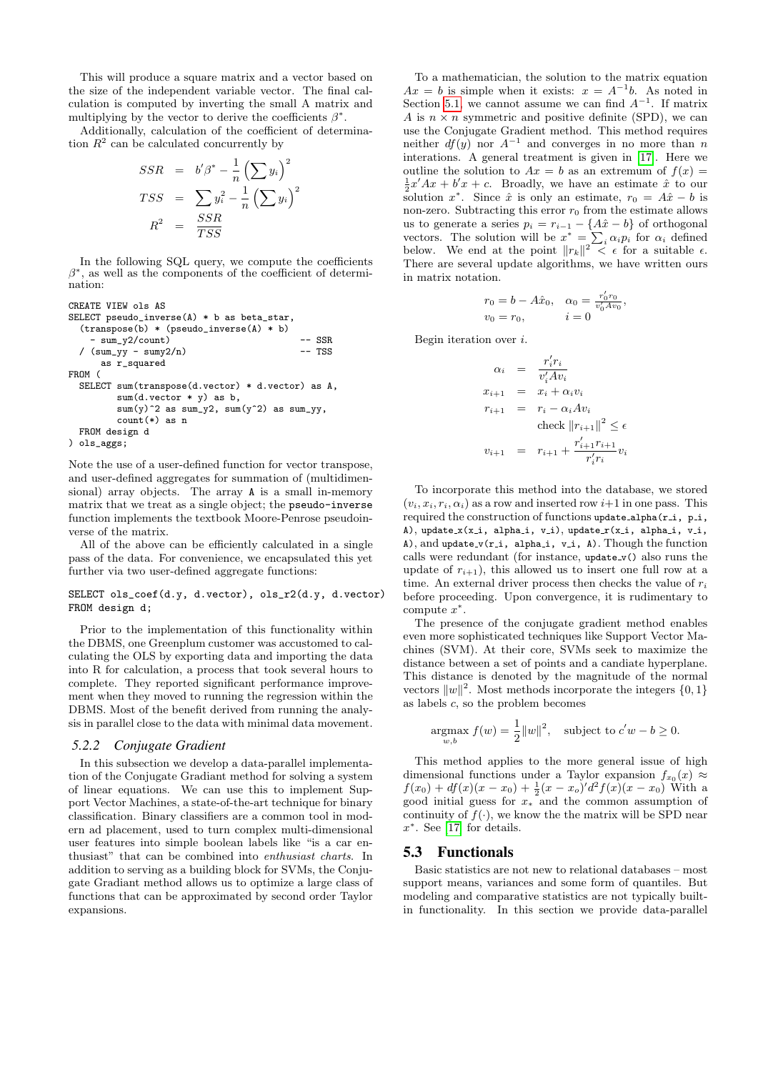This will produce a square matrix and a vector based on the size of the independent variable vector. The final calculation is computed by inverting the small A matrix and multiplying by the vector to derive the coefficients  $\beta^*$ .

Additionally, calculation of the coefficient of determination  $R^2$  can be calculated concurrently by

$$
SSR = b'\beta^* - \frac{1}{n} \left(\sum y_i\right)^2
$$
  
\n
$$
TSS = \sum y_i^2 - \frac{1}{n} \left(\sum y_i\right)^2
$$
  
\n
$$
R^2 = \frac{SSR}{TSS}
$$

In the following SQL query, we compute the coefficients  $\beta^*$ , as well as the components of the coefficient of determination:

```
CREATE VIEW ols AS
SELECT pseudo_inverse(A) * b as beta_star,
 (transpose(b) * (pseudo_inverse(A) * b)
    - sum_y2/count) - SSR
   (sum_y - sum_y^2/n) -- TSS
     as r_squared
FROM (
 SELECT sum(transpose(d.vector) * d.vector) as A,
        sum(d.vector * y) as b,
        sum(y)^2 as sum_y2, sum(y^2) as sum_yy,
        count(*) as n
 FROM design d
) ols_aggs;
```
Note the use of a user-defined function for vector transpose, and user-defined aggregates for summation of (multidimensional) array objects. The array A is a small in-memory matrix that we treat as a single object; the pseudo-inverse function implements the textbook Moore-Penrose pseudoinverse of the matrix.

All of the above can be efficiently calculated in a single pass of the data. For convenience, we encapsulated this yet further via two user-defined aggregate functions:

#### SELECT ols\_coef(d.y, d.vector), ols\_r2(d.y, d.vector) FROM design d;

Prior to the implementation of this functionality within the DBMS, one Greenplum customer was accustomed to calculating the OLS by exporting data and importing the data into R for calculation, a process that took several hours to complete. They reported significant performance improvement when they moved to running the regression within the DBMS. Most of the benefit derived from running the analysis in parallel close to the data with minimal data movement.

#### <span id="page-6-0"></span>*5.2.2 Conjugate Gradient*

In this subsection we develop a data-parallel implementation of the Conjugate Gradiant method for solving a system of linear equations. We can use this to implement Support Vector Machines, a state-of-the-art technique for binary classification. Binary classifiers are a common tool in modern ad placement, used to turn complex multi-dimensional user features into simple boolean labels like "is a car enthusiast" that can be combined into enthusiast charts. In addition to serving as a building block for SVMs, the Conjugate Gradiant method allows us to optimize a large class of functions that can be approximated by second order Taylor expansions.

To a mathematician, the solution to the matrix equation  $Ax = b$  is simple when it exists:  $x = A^{-1}b$ . As noted in Section [5.1,](#page-4-2) we cannot assume we can find  $A^{-1}$ . If matrix A is  $n \times n$  symmetric and positive definite (SPD), we can use the Conjugate Gradient method. This method requires neither  $df(y)$  nor  $A^{-1}$  and converges in no more than n interations. A general treatment is given in [\[17\]](#page-11-16). Here we outline the solution to  $Ax = b$  as an extremum of  $f(x) =$  $\frac{1}{2}x'Ax + b'x + c$ . Broadly, we have an estimate  $\hat{x}$  to our solution  $x^*$ . Since  $\hat{x}$  is only an estimate,  $r_0 = A\hat{x} - b$  is non-zero. Subtracting this error  $r_0$  from the estimate allows us to generate a series  $p_i = r_{i-1} - \{A\hat{x} - b\}$  of orthogonal vectors. The solution will be  $x^* = \sum_i \alpha_i p_i$  for  $\alpha_i$  defined below. We end at the point  $||r_k||^2 \leq \epsilon$  for a suitable  $\epsilon$ . There are several update algorithms, we have written ours in matrix notation.

$$
r_0 = b - A\hat{x}_0, \quad \alpha_0 = \frac{r'_0 r_0}{v'_0 A v_0}, v_0 = r_0, \qquad i = 0
$$

Begin iteration over i.

$$
\alpha_i = \frac{r'_i r_i}{v'_i A v_i}
$$
  
\n
$$
x_{i+1} = x_i + \alpha_i v_i
$$
  
\n
$$
r_{i+1} = r_i - \alpha_i A v_i
$$
  
\ncheck 
$$
||r_{i+1}||^2 \le \epsilon
$$
  
\n
$$
v_{i+1} = r_{i+1} + \frac{r'_{i+1} r_{i+1}}{r'_i r_i} v_i
$$

To incorporate this method into the database, we stored  $(v_i, x_i, r_i, \alpha_i)$  as a row and inserted row  $i+1$  in one pass. This required the construction of functions update\_alpha(r\_i, p\_i, A), update\_x(x\_i, alpha\_i, v\_i), update\_r(x\_i, alpha\_i, v\_i, A), and update\_v( $r_i$ , alpha<sub>i</sub>,  $v_i$ , A). Though the function calls were redundant (for instance,  $update_v()$  also runs the update of  $r_{i+1}$ , this allowed us to insert one full row at a time. An external driver process then checks the value of  $r_i$ before proceeding. Upon convergence, it is rudimentary to compute  $x^*$ .

The presence of the conjugate gradient method enables even more sophisticated techniques like Support Vector Machines (SVM). At their core, SVMs seek to maximize the distance between a set of points and a candiate hyperplane. This distance is denoted by the magnitude of the normal vectors  $||w||^2$ . Most methods incorporate the integers  $\{0, 1\}$ as labels  $c$ , so the problem becomes

$$
\underset{w,b}{\text{argmax}}\ f(w) = \frac{1}{2}||w||^2, \quad \text{subject to } c'w - b \ge 0.
$$

This method applies to the more general issue of high dimensional functions under a Taylor expansion  $f_{x_0}(x) \approx$  $f(x_0) + df(x)(x - x_0) + \frac{1}{2}(x - x_0)'d^2f(x)(x - x_0)$  With a good initial guess for  $x^*$  and the common assumption of continuity of  $f(\cdot)$ , we know the the matrix will be SPD near  $x^*$ . See [\[17\]](#page-11-16) for details.

#### 5.3 Functionals

Basic statistics are not new to relational databases – most support means, variances and some form of quantiles. But modeling and comparative statistics are not typically builtin functionality. In this section we provide data-parallel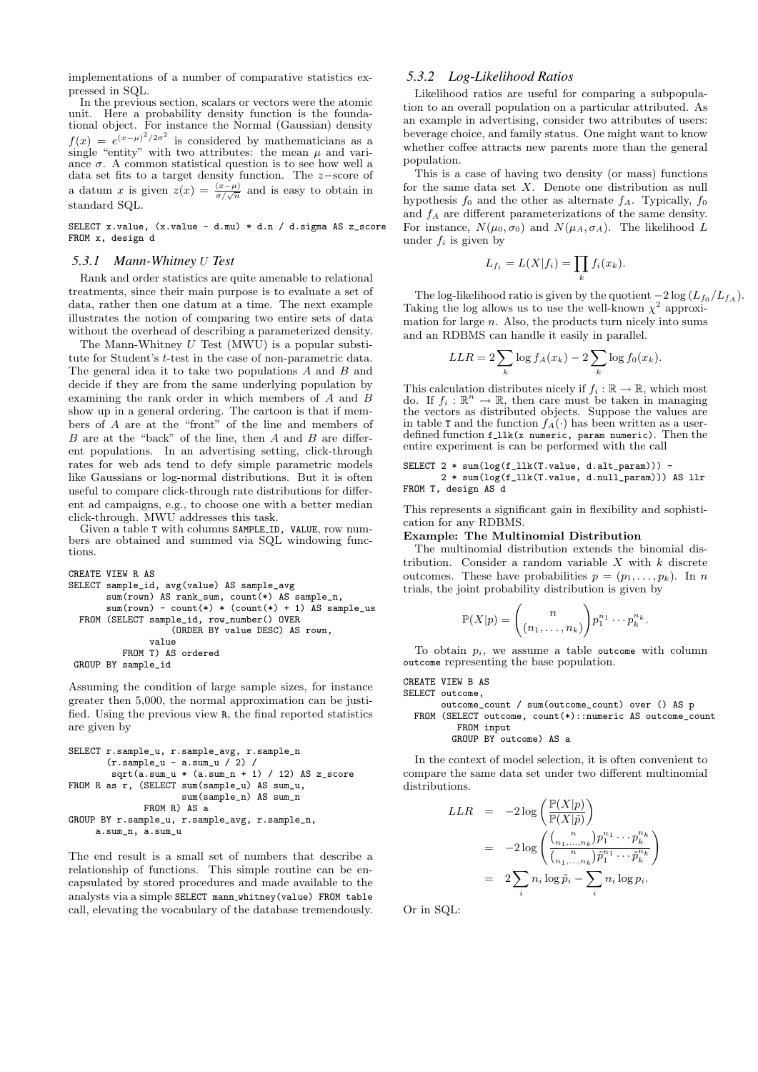implementations of a number of comparative statistics expressed in SQL.

In the previous section, scalars or vectors were the atomic unit. Here a probability density function is the foundational object. For instance the Normal (Gaussian) density  $f(x) = e^{(x-\mu)^2/2\sigma^2}$  is considered by mathematicians as a single "entity" with two attributes: the mean  $\mu$  and variance  $\sigma$ . A common statistical question is to see how well a data set fits to a target density function. The z−score of a datum x is given  $z(x) = \frac{(x-\mu)}{\sigma/\sqrt{n}}$  and is easy to obtain in standard SQL.

SELECT x.value, (x.value - d.mu) \* d.n / d.sigma AS z\_score FROM x, design d

#### *5.3.1 Mann-Whitney* U *Test*

Rank and order statistics are quite amenable to relational treatments, since their main purpose is to evaluate a set of data, rather then one datum at a time. The next example illustrates the notion of comparing two entire sets of data without the overhead of describing a parameterized density.

The Mann-Whitney  $U$  Test (MWU) is a popular substitute for Student's t-test in the case of non-parametric data. The general idea it to take two populations A and B and decide if they are from the same underlying population by examining the rank order in which members of A and B show up in a general ordering. The cartoon is that if members of A are at the "front" of the line and members of  $B$  are at the "back" of the line, then  $A$  and  $B$  are different populations. In an advertising setting, click-through rates for web ads tend to defy simple parametric models like Gaussians or log-normal distributions. But it is often useful to compare click-through rate distributions for different ad campaigns, e.g., to choose one with a better median click-through. MWU addresses this task.

Given a table T with columns SAMPLE ID, VALUE, row numbers are obtained and summed via SQL windowing functions.

```
CREATE VIEW R AS
SELECT sample_id, avg(value) AS sample_avg
       sum(rown) AS rank_sum, count(*) AS sample_n,
       sum(row) - count(*) * (count(*) + 1) AS sample_us
 FROM (SELECT sample_id, row_number() OVER
                   (ORDER BY value DESC) AS rown,
               value
          FROM T) AS ordered
 GROUP BY sample_id
```
Assuming the condition of large sample sizes, for instance greater then 5,000, the normal approximation can be justified. Using the previous view R, the final reported statistics are given by

```
SELECT r.sample_u, r.sample_avg, r.sample_n
       (r.sample_u - a.sum_u / 2) /
        sqrt(a.sum_u * (a.sum_n + 1) / 12) AS z_score
FROM R as r, (SELECT sum(sample_u) AS sum_u,
                     sum(sample_n) AS sum_n
              FROM R) AS a
GROUP BY r.sample_u, r.sample_avg, r.sample_n,
    a.sum_n, a.sum_u
```
The end result is a small set of numbers that describe a relationship of functions. This simple routine can be encapsulated by stored procedures and made available to the analysts via a simple SELECT mann whitney(value) FROM table call, elevating the vocabulary of the database tremendously.

#### *5.3.2 Log-Likelihood Ratios*

Likelihood ratios are useful for comparing a subpopulation to an overall population on a particular attributed. As an example in advertising, consider two attributes of users: beverage choice, and family status. One might want to know whether coffee attracts new parents more than the general population.

This is a case of having two density (or mass) functions for the same data set X. Denote one distribution as null hypothesis  $f_0$  and the other as alternate  $f_A$ . Typically,  $f_0$ and  $f_A$  are different parameterizations of the same density. For instance,  $N(\mu_0, \sigma_0)$  and  $N(\mu_A, \sigma_A)$ . The likelihood L under  $f_i$  is given by

$$
L_{f_i} = L(X|f_i) = \prod_k f_i(x_k).
$$

The log-likelihood ratio is given by the quotient  $-2 \log (L_{f_0} / L_{f_A})$ . Taking the log allows us to use the well-known  $\chi^2$  approximation for large  $n$ . Also, the products turn nicely into sums and an RDBMS can handle it easily in parallel.

$$
LLR = 2\sum_{k}\log f_A(x_k) - 2\sum_{k}\log f_0(x_k).
$$

This calculation distributes nicely if  $f_i : \mathbb{R} \to \mathbb{R}$ , which most do. If  $f_i : \mathbb{R}^n \to \mathbb{R}$ , then care must be taken in managing the vectors as distributed objects. Suppose the values are in table T and the function  $f_A(\cdot)$  has been written as a userdefined function f llk(x numeric, param numeric). Then the entire experiment is can be performed with the call

```
SELECT 2 * sum(log(f_llk(T.value, d.alt_param))) -
      2 * sum(log(f_llk(T.value, d.null_param))) AS llr
FROM T, design AS d
```
This represents a significant gain in flexibility and sophistication for any RDBMS.

Example: The Multinomial Distribution

The multinomial distribution extends the binomial distribution. Consider a random variable  $X$  with  $k$  discrete outcomes. These have probabilities  $p = (p_1, \ldots, p_k)$ . In n trials, the joint probability distribution is given by

$$
\mathbb{P}(X|p) = {n \choose (n_1,\ldots,n_k)} p_1^{n_1} \cdots p_k^{n_k}.
$$

To obtain  $p_i$ , we assume a table outcome with column outcome representing the base population.

#### CREATE VIEW B AS SELECT outcome,

outcome\_count / sum(outcome\_count) over () AS p

FROM (SELECT outcome, count(\*)::numeric AS outcome\_count FROM input

```
GROUP BY outcome) AS a
```
In the context of model selection, it is often convenient to compare the same data set under two different multinomial distributions.

$$
LLR = -2 \log \left( \frac{\mathbb{P}(X|p)}{\mathbb{P}(X|\tilde{p})} \right)
$$
  
= -2 log  $\left( \frac{\binom{n}{n_1,\dots,n_k} p_1^{n_1} \cdots p_k^{n_k}}{\binom{n}{n_1,\dots,n_k} \tilde{p}_1^{n_1} \cdots \tilde{p}_k^{n_k}} \right)$   
= 2  $\sum_i n_i \log \tilde{p}_i - \sum_i n_i \log p_i$ .

Or in SQL: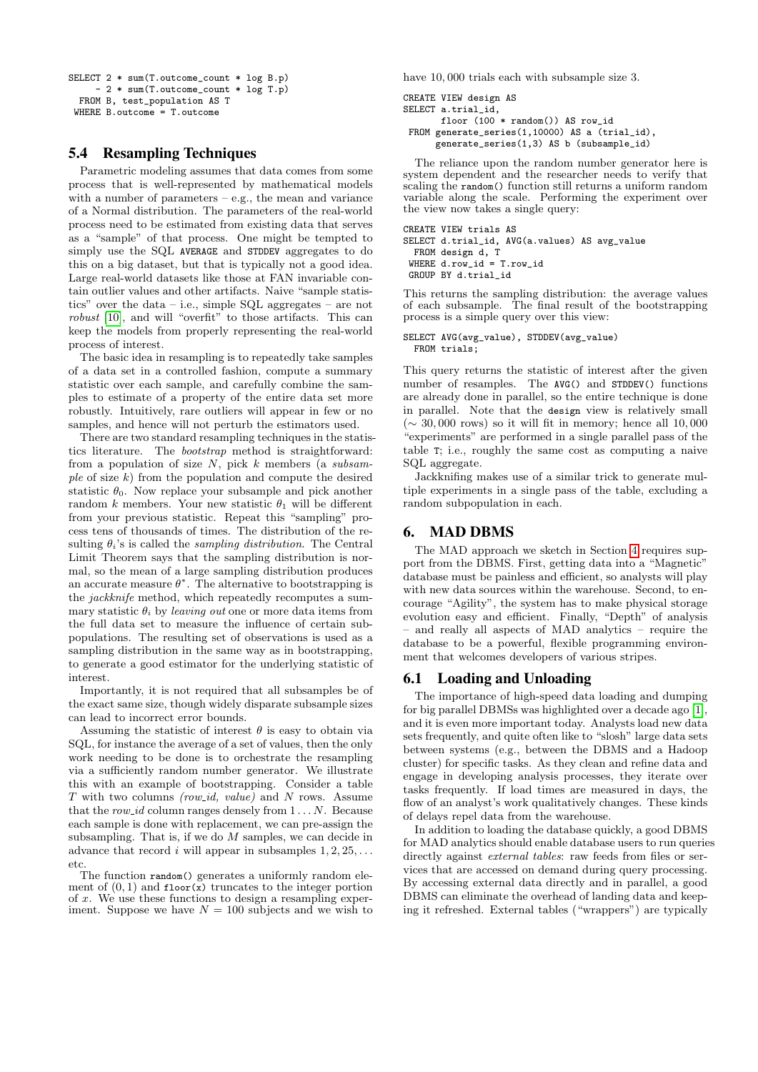```
SELECT 2 * sum(T.outcome_count * log B.p)
     - 2 * sum(T.outcome_count * log T.p)
 FROM B, test_population AS T
 WHERE B.outcome = T.outcome
```
# 5.4 Resampling Techniques

Parametric modeling assumes that data comes from some process that is well-represented by mathematical models with a number of parameters  $-$  e.g., the mean and variance of a Normal distribution. The parameters of the real-world process need to be estimated from existing data that serves as a "sample" of that process. One might be tempted to simply use the SQL AVERAGE and STDDEV aggregates to do this on a big dataset, but that is typically not a good idea. Large real-world datasets like those at FAN invariable contain outlier values and other artifacts. Naive "sample statistics" over the data – i.e., simple SQL aggregates – are not robust [\[10\]](#page-11-17), and will "overfit" to those artifacts. This can keep the models from properly representing the real-world process of interest.

The basic idea in resampling is to repeatedly take samples of a data set in a controlled fashion, compute a summary statistic over each sample, and carefully combine the samples to estimate of a property of the entire data set more robustly. Intuitively, rare outliers will appear in few or no samples, and hence will not perturb the estimators used.

There are two standard resampling techniques in the statistics literature. The bootstrap method is straightforward: from a population of size  $N$ , pick  $k$  members (a subsample of size  $k$ ) from the population and compute the desired statistic  $\theta_0$ . Now replace your subsample and pick another random k members. Your new statistic  $\theta_1$  will be different from your previous statistic. Repeat this "sampling" process tens of thousands of times. The distribution of the resulting  $\theta_i$ 's is called the *sampling distribution*. The Central Limit Theorem says that the sampling distribution is normal, so the mean of a large sampling distribution produces an accurate measure  $\theta^*$ . The alternative to bootstrapping is the jackknife method, which repeatedly recomputes a summary statistic  $\theta_i$  by leaving out one or more data items from the full data set to measure the influence of certain subpopulations. The resulting set of observations is used as a sampling distribution in the same way as in bootstrapping, to generate a good estimator for the underlying statistic of interest.

Importantly, it is not required that all subsamples be of the exact same size, though widely disparate subsample sizes can lead to incorrect error bounds.

Assuming the statistic of interest  $\theta$  is easy to obtain via SQL, for instance the average of a set of values, then the only work needing to be done is to orchestrate the resampling via a sufficiently random number generator. We illustrate this with an example of bootstrapping. Consider a table T with two columns *(row\_id, value)* and N rows. Assume that the *row id* column ranges densely from  $1 \ldots N$ . Because each sample is done with replacement, we can pre-assign the subsampling. That is, if we do  $M$  samples, we can decide in advance that record i will appear in subsamples  $1, 2, 25, \ldots$ etc.

The function random() generates a uniformly random element of  $(0, 1)$  and  $\text{floor}(x)$  truncates to the integer portion of x. We use these functions to design a resampling experiment. Suppose we have  $N = 100$  subjects and we wish to have 10, 000 trials each with subsample size 3.

```
CREATE VIEW design AS
SELECT a.trial_id,
       floor (100 * random()) AS row_id
 FROM generate_series(1,10000) AS a (trial_id),
      generate_series(1,3) AS b (subsample_id)
```
The reliance upon the random number generator here is system dependent and the researcher needs to verify that scaling the random() function still returns a uniform random variable along the scale. Performing the experiment over the view now takes a single query:

```
CREATE VIEW trials AS
SELECT d.trial_id, AVG(a.values) AS avg_value
  FROM design d, T
 WHERE d.row_id = T.row_id
 GROUP BY d.trial_id
```
This returns the sampling distribution: the average values of each subsample. The final result of the bootstrapping process is a simple query over this view:

SELECT AVG(avg\_value), STDDEV(avg\_value) FROM trials;

This query returns the statistic of interest after the given number of resamples. The AVG() and STDDEV() functions are already done in parallel, so the entire technique is done in parallel. Note that the design view is relatively small  $({\sim 30,000 \text{ rows}})$  so it will fit in memory; hence all 10,000 "experiments" are performed in a single parallel pass of the table T; i.e., roughly the same cost as computing a naive SQL aggregate.

Jackknifing makes use of a similar trick to generate multiple experiments in a single pass of the table, excluding a random subpopulation in each.

# <span id="page-8-0"></span>6. MAD DBMS

The MAD approach we sketch in Section [4](#page-3-0) requires support from the DBMS. First, getting data into a "Magnetic" database must be painless and efficient, so analysts will play with new data sources within the warehouse. Second, to encourage "Agility", the system has to make physical storage evolution easy and efficient. Finally, "Depth" of analysis – and really all aspects of MAD analytics – require the database to be a powerful, flexible programming environment that welcomes developers of various stripes.

# 6.1 Loading and Unloading

The importance of high-speed data loading and dumping for big parallel DBMSs was highlighted over a decade ago [\[1\]](#page-11-18), and it is even more important today. Analysts load new data sets frequently, and quite often like to "slosh" large data sets between systems (e.g., between the DBMS and a Hadoop cluster) for specific tasks. As they clean and refine data and engage in developing analysis processes, they iterate over tasks frequently. If load times are measured in days, the flow of an analyst's work qualitatively changes. These kinds of delays repel data from the warehouse.

In addition to loading the database quickly, a good DBMS for MAD analytics should enable database users to run queries directly against *external tables*: raw feeds from files or services that are accessed on demand during query processing. By accessing external data directly and in parallel, a good DBMS can eliminate the overhead of landing data and keeping it refreshed. External tables ("wrappers") are typically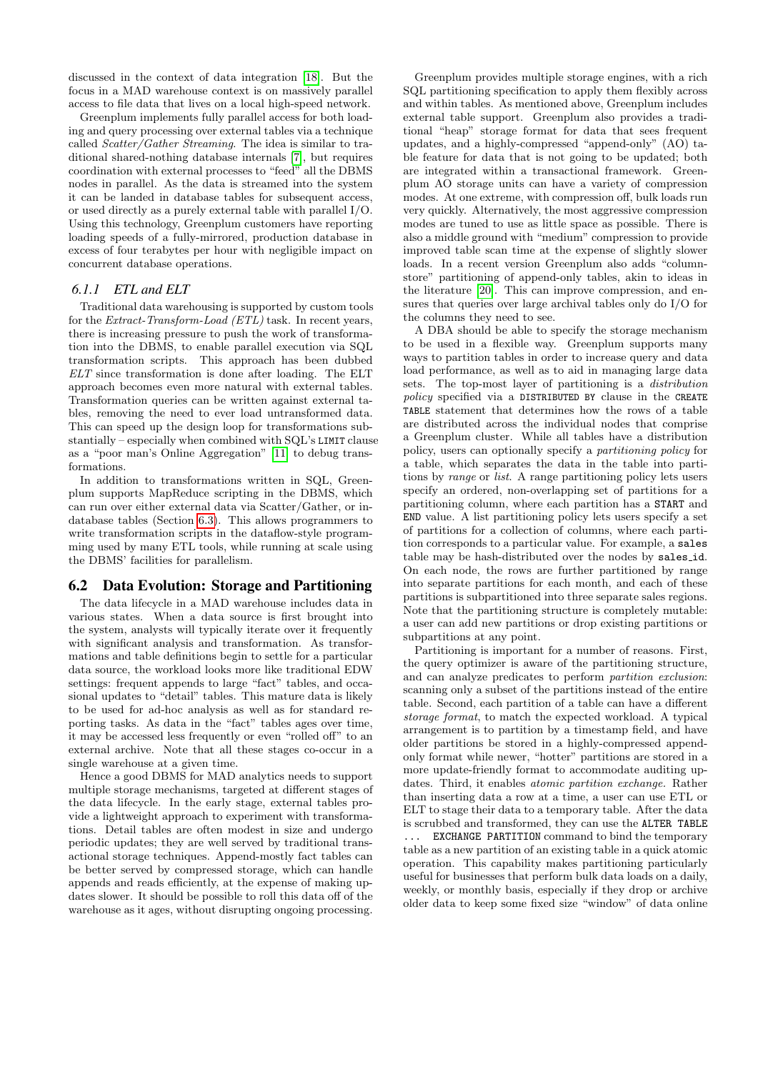discussed in the context of data integration [\[18\]](#page-11-19). But the focus in a MAD warehouse context is on massively parallel access to file data that lives on a local high-speed network.

Greenplum implements fully parallel access for both loading and query processing over external tables via a technique called Scatter/Gather Streaming. The idea is similar to traditional shared-nothing database internals [\[7\]](#page-11-20), but requires coordination with external processes to "feed" all the DBMS nodes in parallel. As the data is streamed into the system it can be landed in database tables for subsequent access, or used directly as a purely external table with parallel I/O. Using this technology, Greenplum customers have reporting loading speeds of a fully-mirrored, production database in excess of four terabytes per hour with negligible impact on concurrent database operations.

#### *6.1.1 ETL and ELT*

Traditional data warehousing is supported by custom tools for the Extract-Transform-Load (ETL) task. In recent years, there is increasing pressure to push the work of transformation into the DBMS, to enable parallel execution via SQL transformation scripts. This approach has been dubbed ELT since transformation is done after loading. The ELT approach becomes even more natural with external tables. Transformation queries can be written against external tables, removing the need to ever load untransformed data. This can speed up the design loop for transformations substantially – especially when combined with SQL's LIMIT clause as a "poor man's Online Aggregation" [\[11\]](#page-11-21) to debug transformations.

In addition to transformations written in SQL, Greenplum supports MapReduce scripting in the DBMS, which can run over either external data via Scatter/Gather, or indatabase tables (Section [6.3\)](#page-10-0). This allows programmers to write transformation scripts in the dataflow-style programming used by many ETL tools, while running at scale using the DBMS' facilities for parallelism.

#### 6.2 Data Evolution: Storage and Partitioning

The data lifecycle in a MAD warehouse includes data in various states. When a data source is first brought into the system, analysts will typically iterate over it frequently with significant analysis and transformation. As transformations and table definitions begin to settle for a particular data source, the workload looks more like traditional EDW settings: frequent appends to large "fact" tables, and occasional updates to "detail" tables. This mature data is likely to be used for ad-hoc analysis as well as for standard reporting tasks. As data in the "fact" tables ages over time, it may be accessed less frequently or even "rolled off" to an external archive. Note that all these stages co-occur in a single warehouse at a given time.

Hence a good DBMS for MAD analytics needs to support multiple storage mechanisms, targeted at different stages of the data lifecycle. In the early stage, external tables provide a lightweight approach to experiment with transformations. Detail tables are often modest in size and undergo periodic updates; they are well served by traditional transactional storage techniques. Append-mostly fact tables can be better served by compressed storage, which can handle appends and reads efficiently, at the expense of making updates slower. It should be possible to roll this data off of the warehouse as it ages, without disrupting ongoing processing.

Greenplum provides multiple storage engines, with a rich SQL partitioning specification to apply them flexibly across and within tables. As mentioned above, Greenplum includes external table support. Greenplum also provides a traditional "heap" storage format for data that sees frequent updates, and a highly-compressed "append-only" (AO) table feature for data that is not going to be updated; both are integrated within a transactional framework. Greenplum AO storage units can have a variety of compression modes. At one extreme, with compression off, bulk loads run very quickly. Alternatively, the most aggressive compression modes are tuned to use as little space as possible. There is also a middle ground with "medium" compression to provide improved table scan time at the expense of slightly slower loads. In a recent version Greenplum also adds "columnstore" partitioning of append-only tables, akin to ideas in the literature [\[20\]](#page-11-22). This can improve compression, and ensures that queries over large archival tables only do I/O for the columns they need to see.

A DBA should be able to specify the storage mechanism to be used in a flexible way. Greenplum supports many ways to partition tables in order to increase query and data load performance, as well as to aid in managing large data sets. The top-most layer of partitioning is a distribution policy specified via a DISTRIBUTED BY clause in the CREATE TABLE statement that determines how the rows of a table are distributed across the individual nodes that comprise a Greenplum cluster. While all tables have a distribution policy, users can optionally specify a partitioning policy for a table, which separates the data in the table into partitions by range or list. A range partitioning policy lets users specify an ordered, non-overlapping set of partitions for a partitioning column, where each partition has a START and END value. A list partitioning policy lets users specify a set of partitions for a collection of columns, where each partition corresponds to a particular value. For example, a sales table may be hash-distributed over the nodes by sales id. On each node, the rows are further partitioned by range into separate partitions for each month, and each of these partitions is subpartitioned into three separate sales regions. Note that the partitioning structure is completely mutable: a user can add new partitions or drop existing partitions or subpartitions at any point.

Partitioning is important for a number of reasons. First, the query optimizer is aware of the partitioning structure, and can analyze predicates to perform partition exclusion: scanning only a subset of the partitions instead of the entire table. Second, each partition of a table can have a different storage format, to match the expected workload. A typical arrangement is to partition by a timestamp field, and have older partitions be stored in a highly-compressed appendonly format while newer, "hotter" partitions are stored in a more update-friendly format to accommodate auditing updates. Third, it enables atomic partition exchange. Rather than inserting data a row at a time, a user can use ETL or ELT to stage their data to a temporary table. After the data is scrubbed and transformed, they can use the ALTER TABLE ... EXCHANGE PARTITION command to bind the temporary table as a new partition of an existing table in a quick atomic operation. This capability makes partitioning particularly useful for businesses that perform bulk data loads on a daily, weekly, or monthly basis, especially if they drop or archive older data to keep some fixed size "window" of data online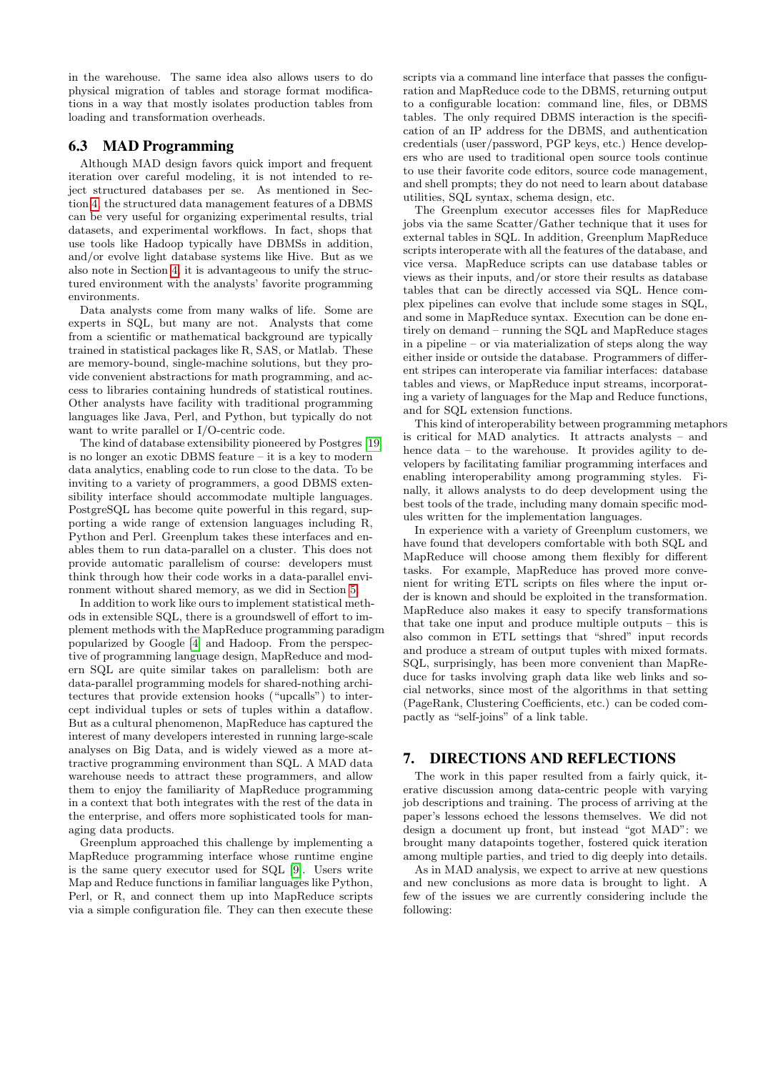in the warehouse. The same idea also allows users to do physical migration of tables and storage format modifications in a way that mostly isolates production tables from loading and transformation overheads.

## <span id="page-10-0"></span>6.3 MAD Programming

Although MAD design favors quick import and frequent iteration over careful modeling, it is not intended to reject structured databases per se. As mentioned in Section [4,](#page-3-0) the structured data management features of a DBMS can be very useful for organizing experimental results, trial datasets, and experimental workflows. In fact, shops that use tools like Hadoop typically have DBMSs in addition, and/or evolve light database systems like Hive. But as we also note in Section [4,](#page-3-0) it is advantageous to unify the structured environment with the analysts' favorite programming environments.

Data analysts come from many walks of life. Some are experts in SQL, but many are not. Analysts that come from a scientific or mathematical background are typically trained in statistical packages like R, SAS, or Matlab. These are memory-bound, single-machine solutions, but they provide convenient abstractions for math programming, and access to libraries containing hundreds of statistical routines. Other analysts have facility with traditional programming languages like Java, Perl, and Python, but typically do not want to write parallel or I/O-centric code.

The kind of database extensibility pioneered by Postgres [\[19\]](#page-11-14) is no longer an exotic DBMS feature – it is a key to modern data analytics, enabling code to run close to the data. To be inviting to a variety of programmers, a good DBMS extensibility interface should accommodate multiple languages. PostgreSQL has become quite powerful in this regard, supporting a wide range of extension languages including R, Python and Perl. Greenplum takes these interfaces and enables them to run data-parallel on a cluster. This does not provide automatic parallelism of course: developers must think through how their code works in a data-parallel environment without shared memory, as we did in Section [5.](#page-4-0)

In addition to work like ours to implement statistical methods in extensible SQL, there is a groundswell of effort to implement methods with the MapReduce programming paradigm popularized by Google [\[4\]](#page-11-23) and Hadoop. From the perspective of programming language design, MapReduce and modern SQL are quite similar takes on parallelism: both are data-parallel programming models for shared-nothing architectures that provide extension hooks ("upcalls") to intercept individual tuples or sets of tuples within a dataflow. But as a cultural phenomenon, MapReduce has captured the interest of many developers interested in running large-scale analyses on Big Data, and is widely viewed as a more attractive programming environment than SQL. A MAD data warehouse needs to attract these programmers, and allow them to enjoy the familiarity of MapReduce programming in a context that both integrates with the rest of the data in the enterprise, and offers more sophisticated tools for managing data products.

Greenplum approached this challenge by implementing a MapReduce programming interface whose runtime engine is the same query executor used for SQL [\[9\]](#page-11-24). Users write Map and Reduce functions in familiar languages like Python, Perl, or R, and connect them up into MapReduce scripts via a simple configuration file. They can then execute these

scripts via a command line interface that passes the configuration and MapReduce code to the DBMS, returning output to a configurable location: command line, files, or DBMS tables. The only required DBMS interaction is the specification of an IP address for the DBMS, and authentication credentials (user/password, PGP keys, etc.) Hence developers who are used to traditional open source tools continue to use their favorite code editors, source code management, and shell prompts; they do not need to learn about database utilities, SQL syntax, schema design, etc.

The Greenplum executor accesses files for MapReduce jobs via the same Scatter/Gather technique that it uses for external tables in SQL. In addition, Greenplum MapReduce scripts interoperate with all the features of the database, and vice versa. MapReduce scripts can use database tables or views as their inputs, and/or store their results as database tables that can be directly accessed via SQL. Hence complex pipelines can evolve that include some stages in SQL, and some in MapReduce syntax. Execution can be done entirely on demand – running the SQL and MapReduce stages in a pipeline – or via materialization of steps along the way either inside or outside the database. Programmers of different stripes can interoperate via familiar interfaces: database tables and views, or MapReduce input streams, incorporating a variety of languages for the Map and Reduce functions, and for SQL extension functions.

This kind of interoperability between programming metaphors is critical for MAD analytics. It attracts analysts – and hence data – to the warehouse. It provides agility to developers by facilitating familiar programming interfaces and enabling interoperability among programming styles. Finally, it allows analysts to do deep development using the best tools of the trade, including many domain specific modules written for the implementation languages.

In experience with a variety of Greenplum customers, we have found that developers comfortable with both SQL and MapReduce will choose among them flexibly for different tasks. For example, MapReduce has proved more convenient for writing ETL scripts on files where the input order is known and should be exploited in the transformation. MapReduce also makes it easy to specify transformations that take one input and produce multiple outputs – this is also common in ETL settings that "shred" input records and produce a stream of output tuples with mixed formats. SQL, surprisingly, has been more convenient than MapReduce for tasks involving graph data like web links and social networks, since most of the algorithms in that setting (PageRank, Clustering Coefficients, etc.) can be coded compactly as "self-joins" of a link table.

## 7. DIRECTIONS AND REFLECTIONS

The work in this paper resulted from a fairly quick, iterative discussion among data-centric people with varying job descriptions and training. The process of arriving at the paper's lessons echoed the lessons themselves. We did not design a document up front, but instead "got MAD": we brought many datapoints together, fostered quick iteration among multiple parties, and tried to dig deeply into details.

As in MAD analysis, we expect to arrive at new questions and new conclusions as more data is brought to light. A few of the issues we are currently considering include the following: